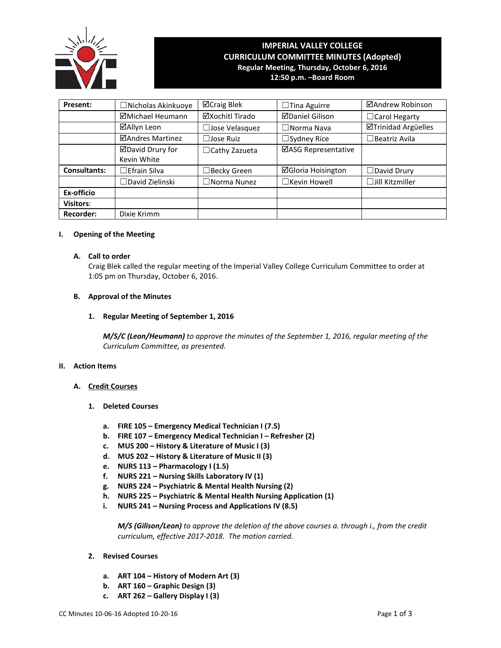

# **IMPERIAL VALLEY COLLEGE CURRICULUM COMMITTEE MINUTES (Adopted) Regular Meeting, Thursday, October 6, 2016 12:50 p.m. –Board Room**

| Present:            | Nicholas Akinkuoye | ⊠Craig Blek          | $\Box$ Tina Aguirre       | ⊠Andrew Robinson       |
|---------------------|--------------------|----------------------|---------------------------|------------------------|
|                     | ⊠Michael Heumann   | ⊠Xochitl Tirado      | <b>ØDaniel Gilison</b>    | □ Carol Hegarty        |
|                     | ⊠Allyn Leon        | Jose Velasquez       | $\Box$ Norma Nava         | ⊠Trinidad Argüelles    |
|                     | ⊠Andres Martinez   | $\Box$ Jose Ruiz     | $\Box$ Sydney Rice        | $\Box$ Beatriz Avila   |
|                     | ⊠David Drury for   | $\Box$ Cathy Zazueta | ⊠ASG Representative       |                        |
|                     | Kevin White        |                      |                           |                        |
| <b>Consultants:</b> | ∃Efrain Silva      | ∃Becky Green         | <b>⊠Gloria Hoisington</b> | $\Box$ David Drury     |
|                     | ∃David Zielinski   | $\Box$ Norma Nunez   | $\Box$ Kevin Howell       | $\Box$ Jill Kitzmiller |
| Ex-officio          |                    |                      |                           |                        |
| <b>Visitors:</b>    |                    |                      |                           |                        |
| <b>Recorder:</b>    | Dixie Krimm        |                      |                           |                        |

# **I. Opening of the Meeting**

# **A. Call to order**

Craig Blek called the regular meeting of the Imperial Valley College Curriculum Committee to order at 1:05 pm on Thursday, October 6, 2016.

# **B. Approval of the Minutes**

**1. Regular Meeting of September 1, 2016**

*M/S/C (Leon/Heumann) to approve the minutes of the September 1, 2016, regular meeting of the Curriculum Committee, as presented.* 

#### **II. Action Items**

- **A. Credit Courses**
	- **1. Deleted Courses**
		- **a. FIRE 105 – Emergency Medical Technician I (7.5)**
		- **b. FIRE 107 – Emergency Medical Technician I – Refresher (2)**
		- **c. MUS 200 – History & Literature of Music I (3)**
		- **d. MUS 202 – History & Literature of Music II (3)**
		- **e. NURS 113 – Pharmacology I (1.5)**
		- **f. NURS 221 – Nursing Skills Laboratory IV (1)**
		- **g. NURS 224 – Psychiatric & Mental Health Nursing (2)**
		- **h. NURS 225 – Psychiatric & Mental Health Nursing Application (1)**
		- **i. NURS 241 – Nursing Process and Applications IV (8.5)**

*M/S (Gilison/Leon) to approve the deletion of the above courses a. through i., from the credit curriculum, effective 2017-2018. The motion carried.*

- **2. Revised Courses**
	- **a. ART 104 – History of Modern Art (3)**
	- **b. ART 160 – Graphic Design (3)**
	- **c. ART 262 – Gallery Display I (3)**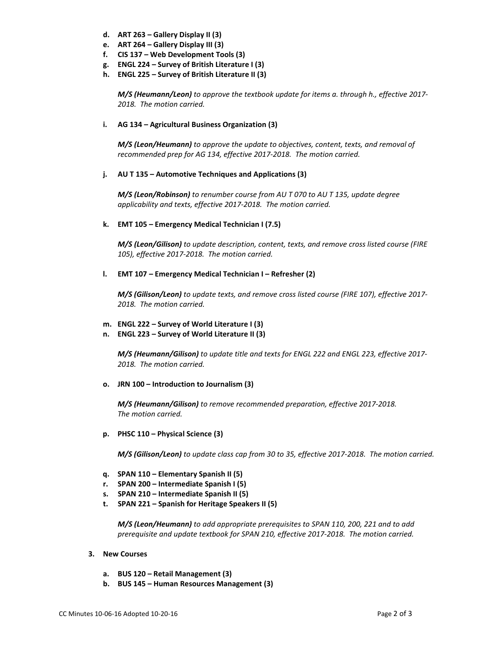- **d. ART 263 – Gallery Display II (3)**
- **e. ART 264 – Gallery Display III (3)**
- **f. CIS 137 – Web Development Tools (3)**
- **g. ENGL 224 – Survey of British Literature I (3)**
- **h. ENGL 225 – Survey of British Literature II (3)**

*M/S (Heumann/Leon) to approve the textbook update for items a. through h., effective 2017- 2018. The motion carried.*

## **i. AG 134 – Agricultural Business Organization (3)**

*M/S (Leon/Heumann) to approve the update to objectives, content, texts, and removal of recommended prep for AG 134, effective 2017-2018. The motion carried.*

## **j. AU T 135 – Automotive Techniques and Applications (3)**

*M/S (Leon/Robinson) to renumber course from AU T 070 to AU T 135, update degree applicability and texts, effective 2017-2018. The motion carried.*

## **k. EMT 105 – Emergency Medical Technician I (7.5)**

*M/S (Leon/Gilison) to update description, content, texts, and remove cross listed course (FIRE 105), effective 2017-2018. The motion carried.*

#### **l. EMT 107 – Emergency Medical Technician I – Refresher (2)**

*M/S (Gilison/Leon) to update texts, and remove cross listed course (FIRE 107), effective 2017- 2018. The motion carried.*

# **m. ENGL 222 – Survey of World Literature I (3)**

**n. ENGL 223 – Survey of World Literature II (3)**

*M/S (Heumann/Gilison) to update title and texts for ENGL 222 and ENGL 223, effective 2017- 2018. The motion carried.*

**o. JRN 100 – Introduction to Journalism (3)**

*M/S (Heumann/Gilison) to remove recommended preparation, effective 2017-2018. The motion carried.*

**p. PHSC 110 – Physical Science (3)**

*M/S (Gilison/Leon) to update class cap from 30 to 35, effective 2017-2018. The motion carried.*

- **q. SPAN 110 – Elementary Spanish II (5)**
- **r. SPAN 200 – Intermediate Spanish I (5)**
- **s. SPAN 210 – Intermediate Spanish II (5)**
- **t. SPAN 221 – Spanish for Heritage Speakers II (5)**

*M/S (Leon/Heumann) to add appropriate prerequisites to SPAN 110, 200, 221 and to add prerequisite and update textbook for SPAN 210, effective 2017-2018. The motion carried.*

- **3. New Courses** 
	- **a. BUS 120 – Retail Management (3)**
	- **b. BUS 145 – Human Resources Management (3)**